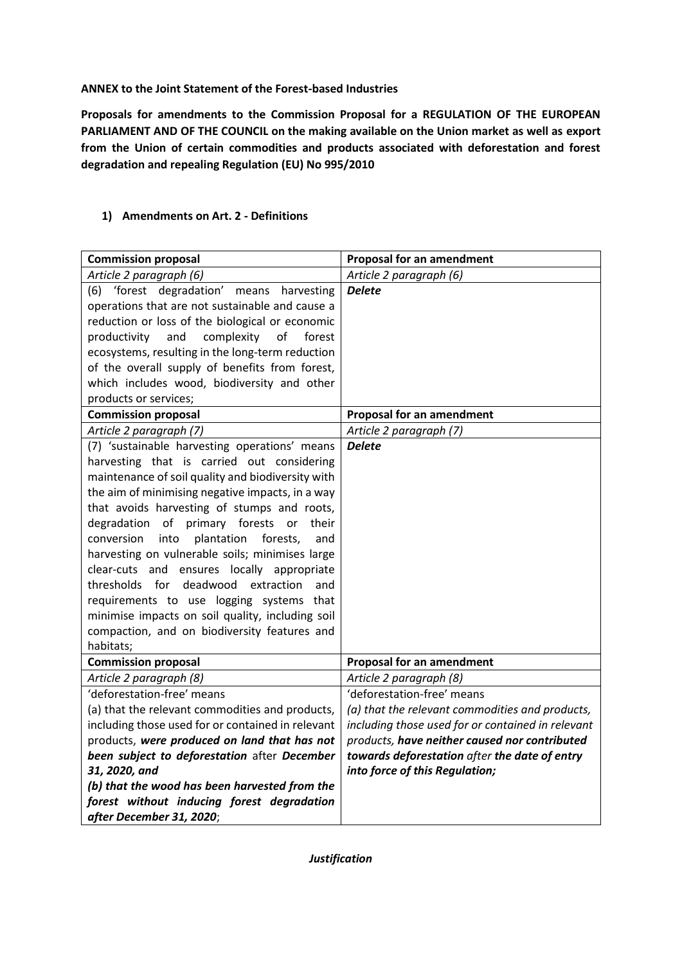**ANNEX to the Joint Statement of the Forest-based Industries**

**Proposals for amendments to the Commission Proposal for a REGULATION OF THE EUROPEAN PARLIAMENT AND OF THE COUNCIL on the making available on the Union market as well as export from the Union of certain commodities and products associated with deforestation and forest degradation and repealing Regulation (EU) No 995/2010**

| <b>Commission proposal</b>                          | Proposal for an amendment                         |
|-----------------------------------------------------|---------------------------------------------------|
| Article 2 paragraph (6)                             | Article 2 paragraph (6)                           |
| (6) 'forest degradation' means harvesting           | <b>Delete</b>                                     |
| operations that are not sustainable and cause a     |                                                   |
| reduction or loss of the biological or economic     |                                                   |
| complexity<br>of<br>productivity<br>and<br>forest   |                                                   |
| ecosystems, resulting in the long-term reduction    |                                                   |
| of the overall supply of benefits from forest,      |                                                   |
| which includes wood, biodiversity and other         |                                                   |
| products or services;                               |                                                   |
| <b>Commission proposal</b>                          | Proposal for an amendment                         |
| Article 2 paragraph (7)                             | Article 2 paragraph (7)                           |
| (7) 'sustainable harvesting operations' means       | <b>Delete</b>                                     |
| harvesting that is carried out considering          |                                                   |
| maintenance of soil quality and biodiversity with   |                                                   |
| the aim of minimising negative impacts, in a way    |                                                   |
| that avoids harvesting of stumps and roots,         |                                                   |
| of<br>primary forests or<br>degradation<br>their    |                                                   |
| into<br>plantation<br>conversion<br>forests,<br>and |                                                   |
| harvesting on vulnerable soils; minimises large     |                                                   |
| clear-cuts and ensures locally appropriate          |                                                   |
| thresholds for deadwood extraction<br>and           |                                                   |
| requirements to use logging systems that            |                                                   |
| minimise impacts on soil quality, including soil    |                                                   |
| compaction, and on biodiversity features and        |                                                   |
| habitats;                                           |                                                   |
| <b>Commission proposal</b>                          | Proposal for an amendment                         |
| Article 2 paragraph (8)                             | Article 2 paragraph (8)                           |
| 'deforestation-free' means                          | 'deforestation-free' means                        |
| (a) that the relevant commodities and products,     | (a) that the relevant commodities and products,   |
| including those used for or contained in relevant   | including those used for or contained in relevant |
| products, were produced on land that has not        | products, have neither caused nor contributed     |
| been subject to deforestation after December        | towards deforestation after the date of entry     |
| 31, 2020, and                                       | into force of this Regulation;                    |
| (b) that the wood has been harvested from the       |                                                   |
| forest without inducing forest degradation          |                                                   |
| after December 31, 2020;                            |                                                   |

## **1) Amendments on Art. 2 - Definitions**

*Justification*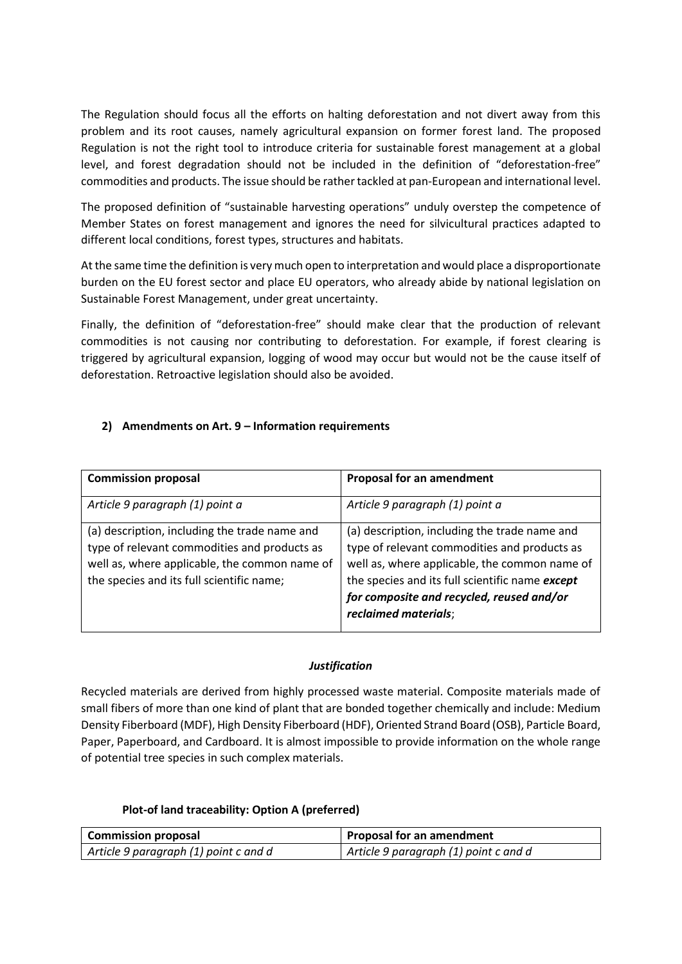The Regulation should focus all the efforts on halting deforestation and not divert away from this problem and its root causes, namely agricultural expansion on former forest land. The proposed Regulation is not the right tool to introduce criteria for sustainable forest management at a global level, and forest degradation should not be included in the definition of "deforestation-free" commodities and products. The issue should be rather tackled at pan-European and international level.

The proposed definition of "sustainable harvesting operations" unduly overstep the competence of Member States on forest management and ignores the need for silvicultural practices adapted to different local conditions, forest types, structures and habitats.

At the same time the definition is very much open to interpretation and would place a disproportionate burden on the EU forest sector and place EU operators, who already abide by national legislation on Sustainable Forest Management, under great uncertainty.

Finally, the definition of "deforestation-free" should make clear that the production of relevant commodities is not causing nor contributing to deforestation. For example, if forest clearing is triggered by agricultural expansion, logging of wood may occur but would not be the cause itself of deforestation. Retroactive legislation should also be avoided.

## **2) Amendments on Art. 9 – Information requirements**

| <b>Commission proposal</b>                                                                                                                                                                  | <b>Proposal for an amendment</b>                                                                                                                                                                                                                                       |
|---------------------------------------------------------------------------------------------------------------------------------------------------------------------------------------------|------------------------------------------------------------------------------------------------------------------------------------------------------------------------------------------------------------------------------------------------------------------------|
| Article 9 paragraph (1) point a                                                                                                                                                             | Article 9 paragraph (1) point a                                                                                                                                                                                                                                        |
| (a) description, including the trade name and<br>type of relevant commodities and products as<br>well as, where applicable, the common name of<br>the species and its full scientific name; | (a) description, including the trade name and<br>type of relevant commodities and products as<br>well as, where applicable, the common name of<br>the species and its full scientific name except<br>for composite and recycled, reused and/or<br>reclaimed materials; |

#### *Justification*

Recycled materials are derived from highly processed waste material. Composite materials made of small fibers of more than one kind of plant that are bonded together chemically and include: Medium Density Fiberboard (MDF), High Density Fiberboard (HDF), Oriented Strand Board (OSB), Particle Board, Paper, Paperboard, and Cardboard. It is almost impossible to provide information on the whole range of potential tree species in such complex materials.

## **Plot-of land traceability: Option A (preferred)**

| <b>Commission proposal</b>            | Proposal for an amendment             |
|---------------------------------------|---------------------------------------|
| Article 9 paragraph (1) point c and d | Article 9 paragraph (1) point c and d |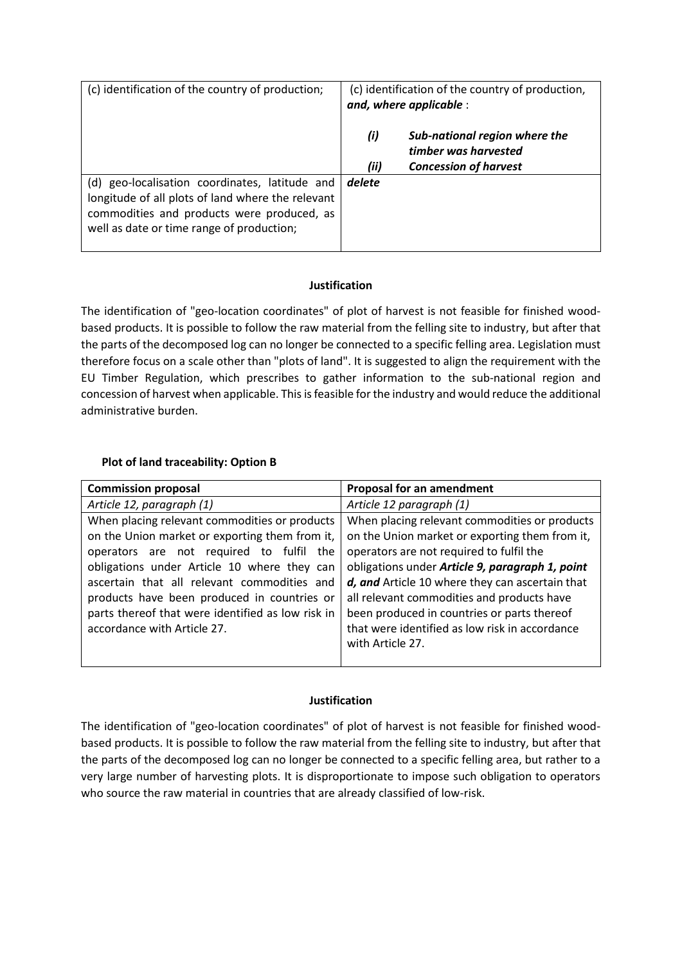| (c) identification of the country of production;                                                                                                                                               | (c) identification of the country of production,<br>and, where applicable :                          |
|------------------------------------------------------------------------------------------------------------------------------------------------------------------------------------------------|------------------------------------------------------------------------------------------------------|
|                                                                                                                                                                                                | (i)<br>Sub-national region where the<br>timber was harvested<br>(ii)<br><b>Concession of harvest</b> |
| (d) geo-localisation coordinates, latitude and<br>longitude of all plots of land where the relevant<br>commodities and products were produced, as<br>well as date or time range of production; | delete                                                                                               |

## **Justification**

The identification of "geo-location coordinates" of plot of harvest is not feasible for finished woodbased products. It is possible to follow the raw material from the felling site to industry, but after that the parts of the decomposed log can no longer be connected to a specific felling area. Legislation must therefore focus on a scale other than "plots of land". It is suggested to align the requirement with the EU Timber Regulation, which prescribes to gather information to the sub-national region and concession of harvest when applicable. This is feasible for the industry and would reduce the additional administrative burden.

## **Plot of land traceability: Option B**

| <b>Commission proposal</b>                                                                                                                                                                                                                                                                                                                                                   | <b>Proposal for an amendment</b>                                                                                                                                                                                                                                                                                                                                                                                     |
|------------------------------------------------------------------------------------------------------------------------------------------------------------------------------------------------------------------------------------------------------------------------------------------------------------------------------------------------------------------------------|----------------------------------------------------------------------------------------------------------------------------------------------------------------------------------------------------------------------------------------------------------------------------------------------------------------------------------------------------------------------------------------------------------------------|
| Article 12, paragraph (1)                                                                                                                                                                                                                                                                                                                                                    | Article 12 paragraph (1)                                                                                                                                                                                                                                                                                                                                                                                             |
| When placing relevant commodities or products<br>on the Union market or exporting them from it,<br>operators are not required to fulfil the<br>obligations under Article 10 where they can<br>ascertain that all relevant commodities and<br>products have been produced in countries or<br>parts thereof that were identified as low risk in<br>accordance with Article 27. | When placing relevant commodities or products<br>on the Union market or exporting them from it,<br>operators are not required to fulfil the<br>obligations under Article 9, paragraph 1, point<br>d, and Article 10 where they can ascertain that<br>all relevant commodities and products have<br>been produced in countries or parts thereof<br>that were identified as low risk in accordance<br>with Article 27. |
|                                                                                                                                                                                                                                                                                                                                                                              |                                                                                                                                                                                                                                                                                                                                                                                                                      |

## **Justification**

The identification of "geo-location coordinates" of plot of harvest is not feasible for finished woodbased products. It is possible to follow the raw material from the felling site to industry, but after that the parts of the decomposed log can no longer be connected to a specific felling area, but rather to a very large number of harvesting plots. It is disproportionate to impose such obligation to operators who source the raw material in countries that are already classified of low-risk.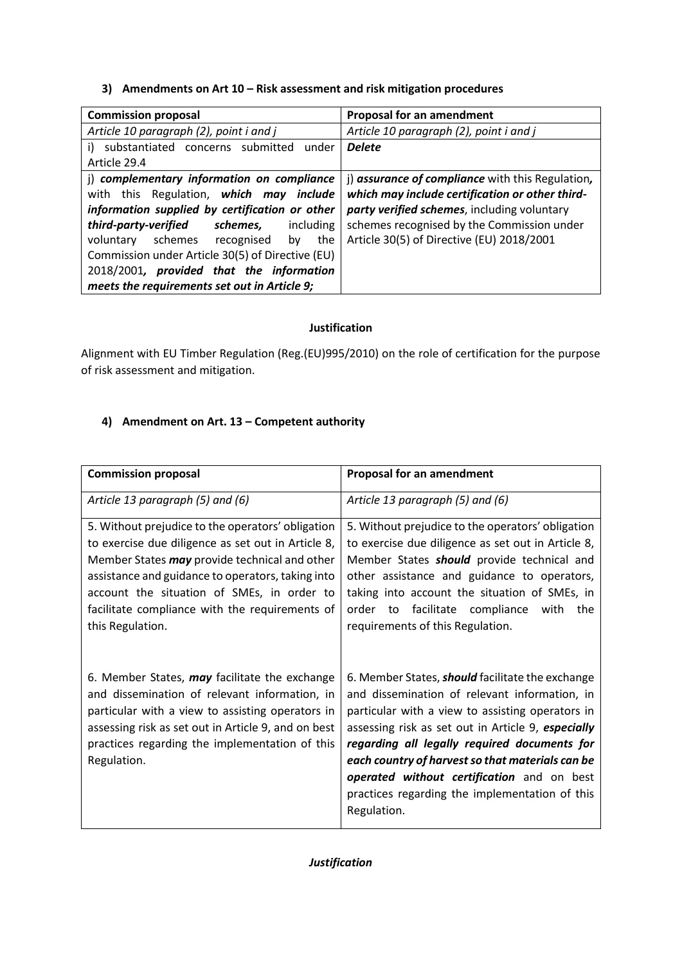**3) Amendments on Art 10 – Risk assessment and risk mitigation procedures**

| <b>Commission proposal</b>                       | <b>Proposal for an amendment</b>                 |
|--------------------------------------------------|--------------------------------------------------|
| Article 10 paragraph (2), point i and j          | Article 10 paragraph (2), point i and j          |
| i) substantiated concerns submitted<br>under     | <b>Delete</b>                                    |
| Article 29.4                                     |                                                  |
| j) complementary information on compliance       | j) assurance of compliance with this Regulation, |
| with this Regulation, which may include          | which may include certification or other third-  |
| information supplied by certification or other   | party verified schemes, including voluntary      |
| third-party-verified<br>schemes,<br>including    | schemes recognised by the Commission under       |
| voluntary schemes recognised<br>the<br>by        | Article 30(5) of Directive (EU) 2018/2001        |
| Commission under Article 30(5) of Directive (EU) |                                                  |
| 2018/2001, provided that the information         |                                                  |
| meets the requirements set out in Article 9;     |                                                  |

# **Justification**

Alignment with EU Timber Regulation (Reg.(EU)995/2010) on the role of certification for the purpose of risk assessment and mitigation.

# **4) Amendment on Art. 13 – Competent authority**

| <b>Commission proposal</b>                                                                                                                                                                                                                                                                                                        | <b>Proposal for an amendment</b>                                                                                                                                                                                                                                                                                                                                                                                                             |
|-----------------------------------------------------------------------------------------------------------------------------------------------------------------------------------------------------------------------------------------------------------------------------------------------------------------------------------|----------------------------------------------------------------------------------------------------------------------------------------------------------------------------------------------------------------------------------------------------------------------------------------------------------------------------------------------------------------------------------------------------------------------------------------------|
| Article 13 paragraph (5) and (6)                                                                                                                                                                                                                                                                                                  | Article 13 paragraph (5) and (6)                                                                                                                                                                                                                                                                                                                                                                                                             |
| 5. Without prejudice to the operators' obligation<br>to exercise due diligence as set out in Article 8,<br>Member States may provide technical and other<br>assistance and guidance to operators, taking into<br>account the situation of SMEs, in order to<br>facilitate compliance with the requirements of<br>this Regulation. | 5. Without prejudice to the operators' obligation<br>to exercise due diligence as set out in Article 8,<br>Member States <b>should</b> provide technical and<br>other assistance and guidance to operators,<br>taking into account the situation of SMEs, in<br>facilitate compliance with<br>order to<br>the<br>requirements of this Regulation.                                                                                            |
| 6. Member States, may facilitate the exchange<br>and dissemination of relevant information, in<br>particular with a view to assisting operators in<br>assessing risk as set out in Article 9, and on best<br>practices regarding the implementation of this<br>Regulation.                                                        | 6. Member States, <b>should</b> facilitate the exchange<br>and dissemination of relevant information, in<br>particular with a view to assisting operators in<br>assessing risk as set out in Article 9, especially<br>regarding all legally required documents for<br>each country of harvest so that materials can be<br><b>operated without certification</b> and on best<br>practices regarding the implementation of this<br>Regulation. |

# *Justification*